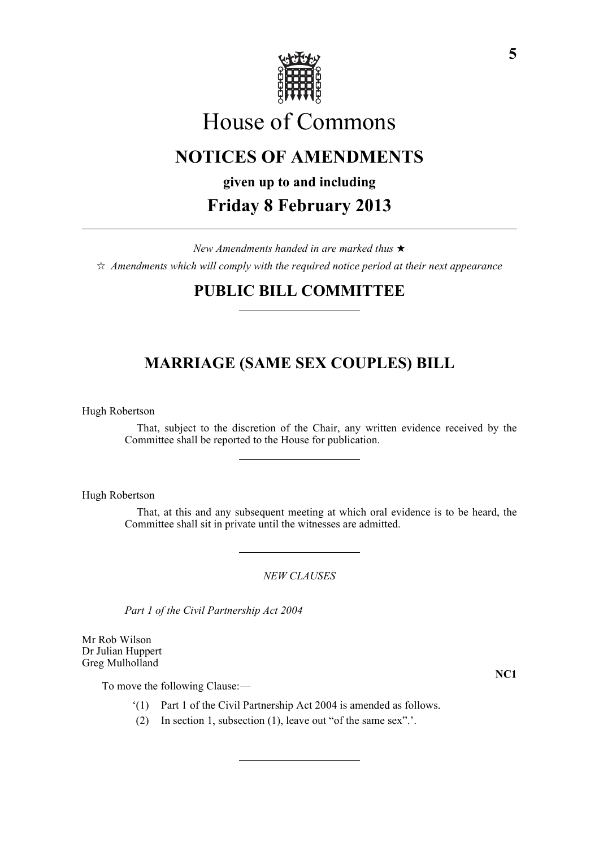

# House of Commons

# **NOTICES OF AMENDMENTS**

# **given up to and including Friday 8 February 2013**

*New Amendments handed in are marked thus* \*  $\dot{\varphi}$  *Amendments which will comply with the required notice period at their next appearance* 

### **PUBLIC BILL COMMITTEE**

## **MARRIAGE (SAME SEX COUPLES) BILL**

Hugh Robertson

That, subject to the discretion of the Chair, any written evidence received by the Committee shall be reported to the House for publication.

Hugh Robertson

That, at this and any subsequent meeting at which oral evidence is to be heard, the Committee shall sit in private until the witnesses are admitted.

*NEW CLAUSES*

*Part 1 of the Civil Partnership Act 2004*

Mr Rob Wilson Dr Julian Huppert Greg Mulholland

To move the following Clause:—

**NC1**

- '(1) Part 1 of the Civil Partnership Act 2004 is amended as follows.
- (2) In section 1, subsection (1), leave out "of the same sex".'.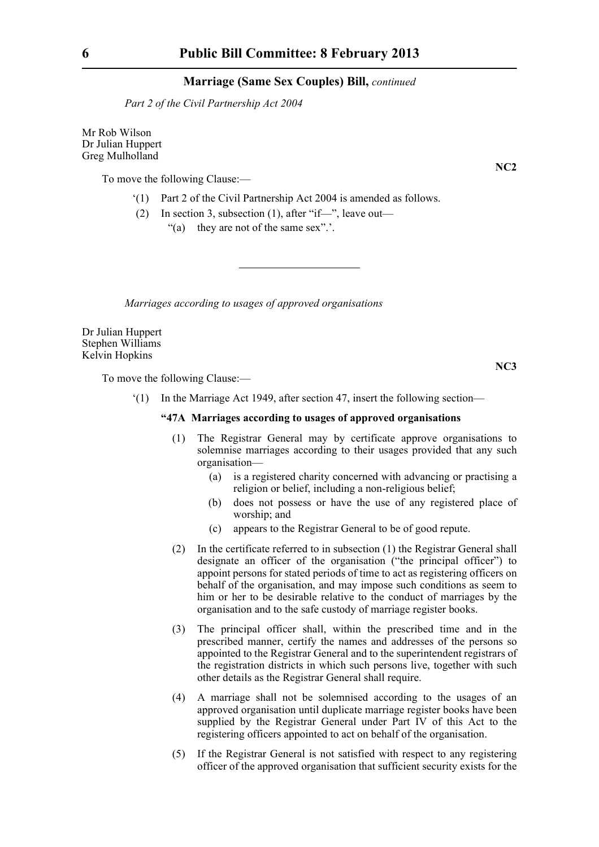*Part 2 of the Civil Partnership Act 2004*

Mr Rob Wilson Dr Julian Huppert Greg Mulholland

To move the following Clause:—

- '(1) Part 2 of the Civil Partnership Act 2004 is amended as follows.
- (2) In section 3, subsection (1), after "if—", leave out—

"(a) they are not of the same sex".'.

*Marriages according to usages of approved organisations*

Dr Julian Huppert Stephen Williams Kelvin Hopkins

To move the following Clause:—

'(1) In the Marriage Act 1949, after section 47, insert the following section—

#### **"47A Marriages according to usages of approved organisations**

- (1) The Registrar General may by certificate approve organisations to solemnise marriages according to their usages provided that any such organisation—
	- (a) is a registered charity concerned with advancing or practising a religion or belief, including a non-religious belief;
	- (b) does not possess or have the use of any registered place of worship; and
	- (c) appears to the Registrar General to be of good repute.
- (2) In the certificate referred to in subsection (1) the Registrar General shall designate an officer of the organisation ("the principal officer") to appoint persons for stated periods of time to act as registering officers on behalf of the organisation, and may impose such conditions as seem to him or her to be desirable relative to the conduct of marriages by the organisation and to the safe custody of marriage register books.
- (3) The principal officer shall, within the prescribed time and in the prescribed manner, certify the names and addresses of the persons so appointed to the Registrar General and to the superintendent registrars of the registration districts in which such persons live, together with such other details as the Registrar General shall require.
- (4) A marriage shall not be solemnised according to the usages of an approved organisation until duplicate marriage register books have been supplied by the Registrar General under Part IV of this Act to the registering officers appointed to act on behalf of the organisation.
- (5) If the Registrar General is not satisfied with respect to any registering officer of the approved organisation that sufficient security exists for the

**NC2**

**NC3**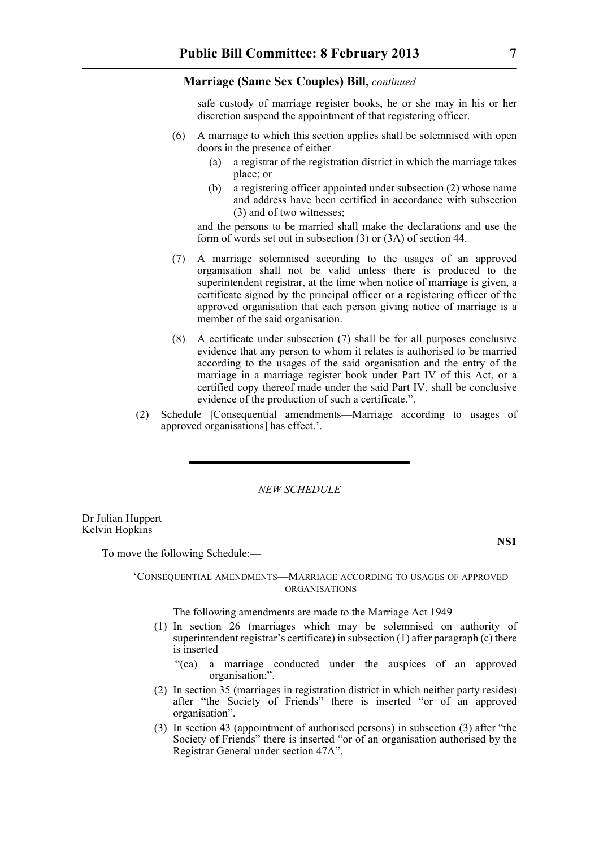safe custody of marriage register books, he or she may in his or her discretion suspend the appointment of that registering officer.

- (6) A marriage to which this section applies shall be solemnised with open doors in the presence of either—
	- (a) a registrar of the registration district in which the marriage takes place; or
	- (b) a registering officer appointed under subsection (2) whose name and address have been certified in accordance with subsection (3) and of two witnesses;

and the persons to be married shall make the declarations and use the form of words set out in subsection (3) or (3A) of section 44.

- (7) A marriage solemnised according to the usages of an approved organisation shall not be valid unless there is produced to the superintendent registrar, at the time when notice of marriage is given, a certificate signed by the principal officer or a registering officer of the approved organisation that each person giving notice of marriage is a member of the said organisation.
- (8) A certificate under subsection (7) shall be for all purposes conclusive evidence that any person to whom it relates is authorised to be married according to the usages of the said organisation and the entry of the marriage in a marriage register book under Part IV of this Act, or a certified copy thereof made under the said Part IV, shall be conclusive evidence of the production of such a certificate.".
- (2) Schedule [Consequential amendments—Marriage according to usages of approved organisations] has effect.'.

*NEW SCHEDULE*

Dr Julian Huppert Kelvin Hopkins

To move the following Schedule:—

**NS1**

#### 'CONSEQUENTIAL AMENDMENTS—MARRIAGE ACCORDING TO USAGES OF APPROVED ORGANISATIONS

The following amendments are made to the Marriage Act 1949—

- (1) In section 26 (marriages which may be solemnised on authority of superintendent registrar's certificate) in subsection (1) after paragraph (c) there is inserted—
	- "(ca) a marriage conducted under the auspices of an approved organisation;".
- (2) In section 35 (marriages in registration district in which neither party resides) after "the Society of Friends" there is inserted "or of an approved organisation".
- (3) In section 43 (appointment of authorised persons) in subsection (3) after "the Society of Friends" there is inserted "or of an organisation authorised by the Registrar General under section 47A".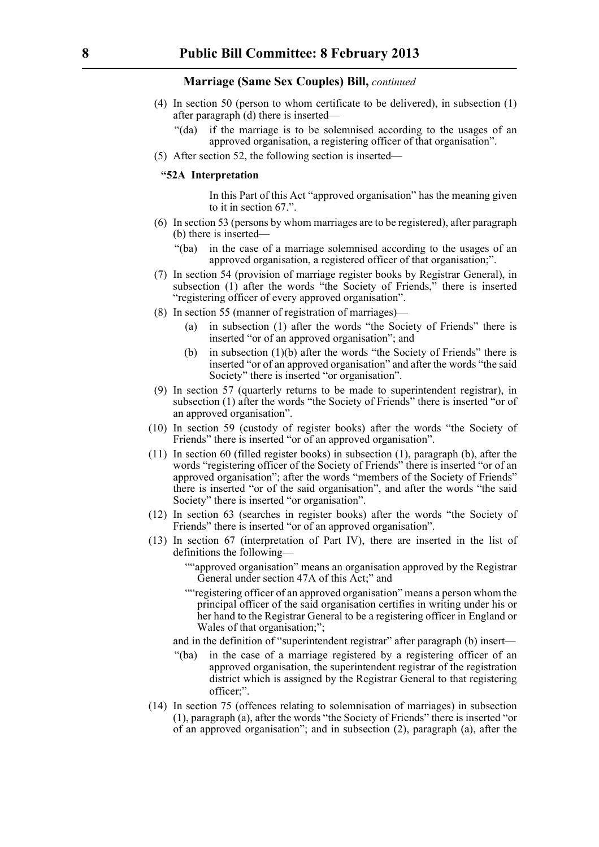- (4) In section 50 (person to whom certificate to be delivered), in subsection (1) after paragraph (d) there is inserted—
	- "(da) if the marriage is to be solemnised according to the usages of an approved organisation, a registering officer of that organisation".
- (5) After section 52, the following section is inserted—

#### **"52A Interpretation**

In this Part of this Act "approved organisation" has the meaning given to it in section 67.".

- (6) In section 53 (persons by whom marriages are to be registered), after paragraph (b) there is inserted—
	- "(ba) in the case of a marriage solemnised according to the usages of an approved organisation, a registered officer of that organisation;".
- (7) In section 54 (provision of marriage register books by Registrar General), in subsection (1) after the words "the Society of Friends," there is inserted "registering officer of every approved organisation".
- (8) In section 55 (manner of registration of marriages)—
	- (a) in subsection (1) after the words "the Society of Friends" there is inserted "or of an approved organisation"; and
	- (b) in subsection (1)(b) after the words "the Society of Friends" there is inserted "or of an approved organisation" and after the words "the said Society" there is inserted "or organisation".
- (9) In section 57 (quarterly returns to be made to superintendent registrar), in subsection (1) after the words "the Society of Friends" there is inserted "or of an approved organisation".
- (10) In section 59 (custody of register books) after the words "the Society of Friends" there is inserted "or of an approved organisation".
- (11) In section 60 (filled register books) in subsection (1), paragraph (b), after the words "registering officer of the Society of Friends" there is inserted "or of an approved organisation"; after the words "members of the Society of Friends" there is inserted "or of the said organisation", and after the words "the said Society" there is inserted "or organisation".
- (12) In section 63 (searches in register books) after the words "the Society of Friends" there is inserted "or of an approved organisation".
- (13) In section 67 (interpretation of Part IV), there are inserted in the list of definitions the following—
	- ""approved organisation" means an organisation approved by the Registrar General under section 47A of this Act;" and
	- ""registering officer of an approved organisation" means a person whom the principal officer of the said organisation certifies in writing under his or her hand to the Registrar General to be a registering officer in England or Wales of that organisation;";

and in the definition of "superintendent registrar" after paragraph (b) insert—

- "(ba) in the case of a marriage registered by a registering officer of an approved organisation, the superintendent registrar of the registration district which is assigned by the Registrar General to that registering officer;".
- (14) In section 75 (offences relating to solemnisation of marriages) in subsection (1), paragraph (a), after the words "the Society of Friends" there is inserted "or of an approved organisation"; and in subsection (2), paragraph (a), after the